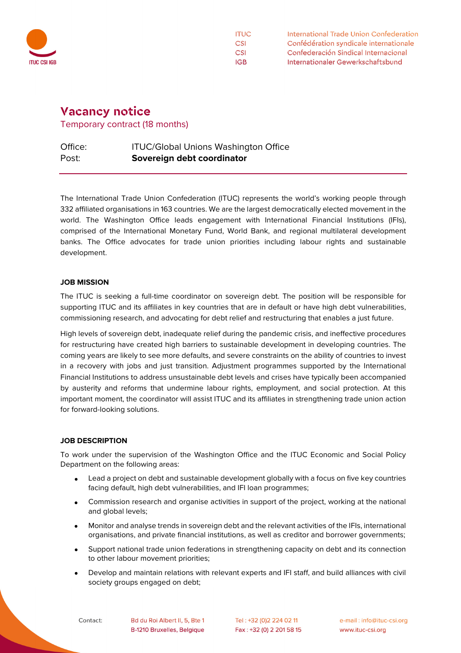

**ITUC** International Trade Union Confederation **CSI** Confédération syndicale internationale **CSI** Confederación Sindical Internacional Internationaler Gewerkschaftsbund **IGB** 

# **Vacancy notice**

Temporary contract (18 months)

## Office: ITUC/Global Unions Washington Office Post: **Sovereign debt coordinator**

The International Trade Union Confederation (ITUC) represents the world's working people through 332 affiliated organisations in 163 countries. We are the largest democratically elected movement in the world. The Washington Office leads engagement with International Financial Institutions (IFIs), comprised of the International Monetary Fund, World Bank, and regional multilateral development banks. The Office advocates for trade union priorities including labour rights and sustainable development.

#### **JOB MISSION**

The ITUC is seeking a full-time coordinator on sovereign debt. The position will be responsible for supporting ITUC and its affiliates in key countries that are in default or have high debt vulnerabilities, commissioning research, and advocating for debt relief and restructuring that enables a just future.

High levels of sovereign debt, inadequate relief during the pandemic crisis, and ineffective procedures for restructuring have created high barriers to sustainable development in developing countries. The coming years are likely to see more defaults, and severe constraints on the ability of countries to invest in a recovery with jobs and just transition. Adjustment programmes supported by the International Financial Institutions to address unsustainable debt levels and crises have typically been accompanied by austerity and reforms that undermine labour rights, employment, and social protection. At this important moment, the coordinator will assist ITUC and its affiliates in strengthening trade union action for forward-looking solutions.

### **JOB DESCRIPTION**

To work under the supervision of the Washington Office and the ITUC Economic and Social Policy Department on the following areas:

- Lead a project on debt and sustainable development globally with a focus on five key countries facing default, high debt vulnerabilities, and IFI loan programmes;
- Commission research and organise activities in support of the project, working at the national and global levels;
- Monitor and analyse trends in sovereign debt and the relevant activities of the IFIs, international organisations, and private financial institutions, as well as creditor and borrower governments;
- Support national trade union federations in strengthening capacity on debt and its connection to other labour movement priorities;
- Develop and maintain relations with relevant experts and IFI staff, and build alliances with civil society groups engaged on debt;

Contact:

Bd du Roi Albert II, 5, Bte 1 B-1210 Bruxelles, Belgique

Tel: +32 (0)2 224 02 11 Fax: +32 (0) 2 201 58 15

e-mail: info@ituc-csi.org www.ituc-csi.org